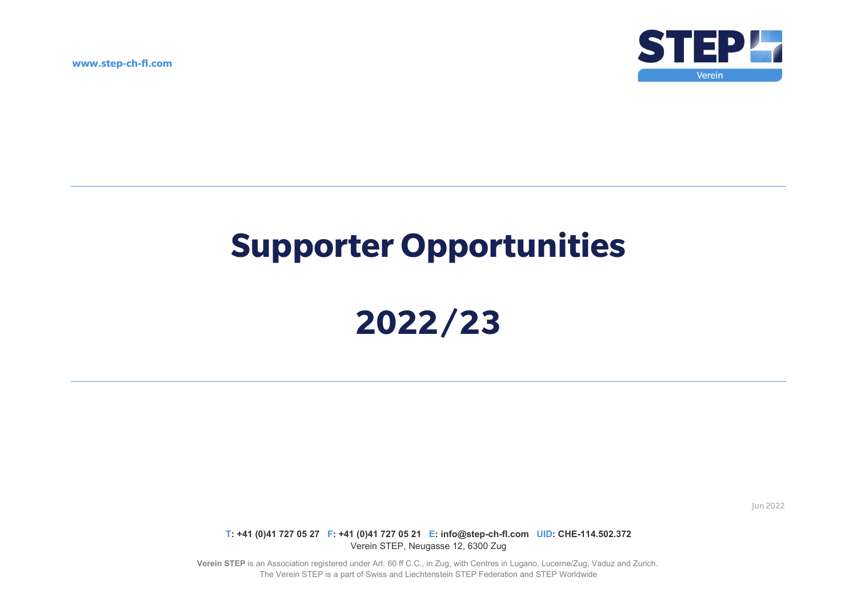**www.step-ch-fl.com** 



# **Supporter Opportunities**

# **2022/23**

Jun 2022

**T: +41 (0)41 727 05 27 F: +41 (0)41 727 05 21 E: info@step-ch-fl.com UID: CHE-114.502.372** Verein STEP, Neugasse 12, 6300 Zug

**Verein STEP** is an Association registered under Art. 60 ff C.C., in Zug, with Centres in Lugano, Lucerne/Zug, Vaduz and Zurich. The Verein STEP is a part of Swiss and Liechtenstein STEP Federation and STEP Worldwide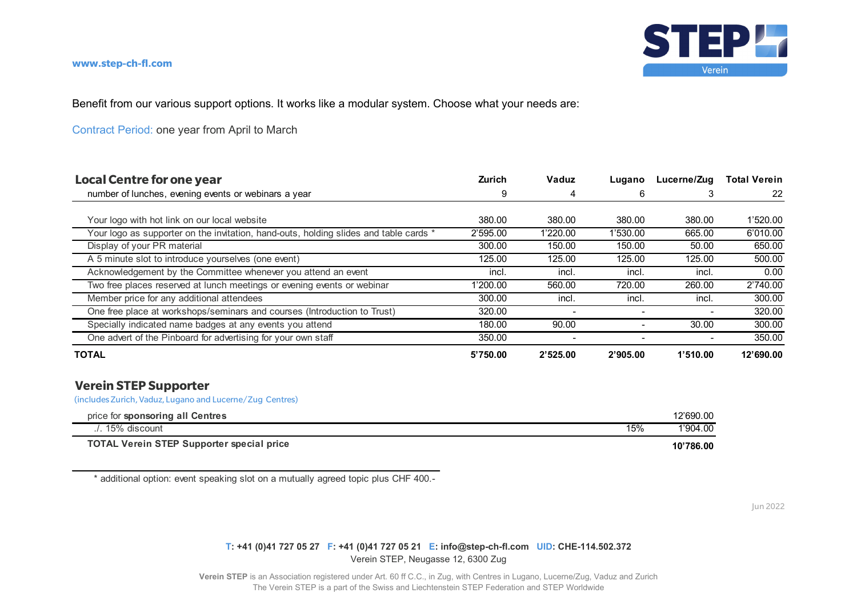

### **www.step-ch-fl.com**

Benefit from our various support options. It works like a modular system. Choose what your needs are:

Contract Period: one year from April to March

| <b>Local Centre for one year</b>                                                      | <b>Zurich</b> | Vaduz    | Lugano   | Lucerne/Zug | <b>Total Verein</b> |
|---------------------------------------------------------------------------------------|---------------|----------|----------|-------------|---------------------|
| number of lunches, evening events or webinars a year                                  | 9             | 4        | 6        |             | 22                  |
|                                                                                       |               |          |          |             |                     |
| Your logo with hot link on our local website                                          | 380.00        | 380.00   | 380.00   | 380.00      | 1'520.00            |
| Your logo as supporter on the invitation, hand-outs, holding slides and table cards * | 2'595.00      | 1'220.00 | 1'530.00 | 665.00      | 6'010.00            |
| Display of your PR material                                                           | 300.00        | 150.00   | 150.00   | 50.00       | 650.00              |
| A 5 minute slot to introduce yourselves (one event)                                   | 125.00        | 125.00   | 125.00   | 125.00      | 500.00              |
| Acknowledgement by the Committee whenever you attend an event                         | incl.         | incl.    | incl.    | incl.       | 0.00                |
| Two free places reserved at lunch meetings or evening events or webinar               | 1'200.00      | 560.00   | 720.00   | 260.00      | 2'740.00            |
| Member price for any additional attendees                                             | 300.00        | incl.    | incl.    | incl.       | 300.00              |
| One free place at workshops/seminars and courses (Introduction to Trust)              | 320.00        |          |          |             | 320.00              |
| Specially indicated name badges at any events you attend                              | 180.00        | 90.00    |          | 30.00       | 300.00              |
| One advert of the Pinboard for advertising for your own staff                         | 350.00        |          |          |             | 350.00              |
| <b>TOTAL</b>                                                                          | 5'750.00      | 2'525.00 | 2'905.00 | 1'510.00    | 12'690.00           |

## **Verein STEP Supporter**

(includes Zurich, Vaduz, Lugano and Lucerne/Zug Centres)

| price for sponsoring all Centres                 |     | 12'690.00 |
|--------------------------------------------------|-----|-----------|
| $\Lambda$ . 15% discount                         | 15% | 1'904.00  |
| <b>TOTAL Verein STEP Supporter special price</b> |     | 10'786.00 |

\* additional option: event speaking slot on a mutually agreed topic plus CHF 400.-

Jun 2022

## **T: +41 (0)41 727 05 27 F: +41 (0)41 727 05 21 E: info@step-ch-fl.com UID: CHE-114.502.372** Verein STEP, Neugasse 12, 6300 Zug

**Verein STEP** is an Association registered under Art. 60 ff C.C., in Zug, with Centres in Lugano, Lucerne/Zug, Vaduz and Zurich The Verein STEP is a part of the Swiss and Liechtenstein STEP Federation and STEP Worldwide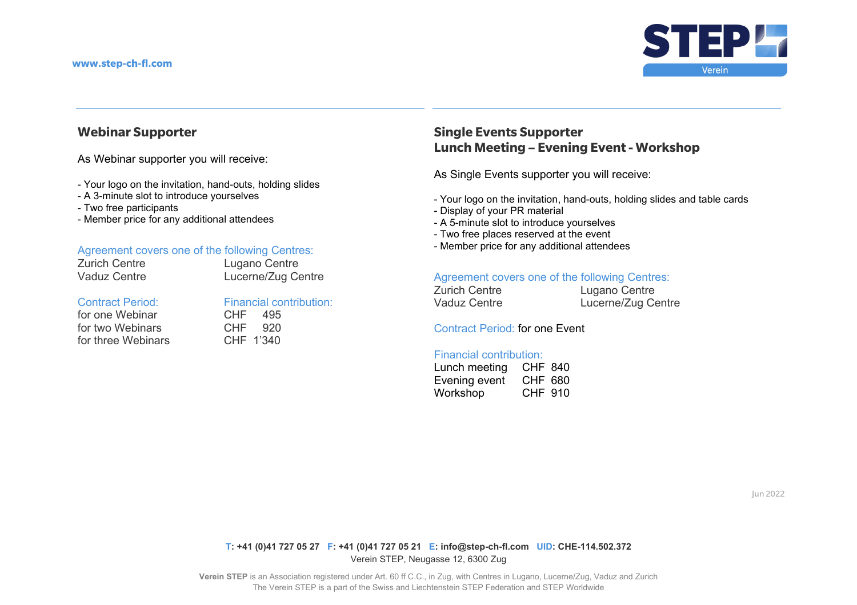

# **Webinar Supporter**

As Webinar supporter you will receive:

- Your logo on the invitation, hand-outs, holding slides
- A 3-minute slot to introduce yourselves
- Two free participants
- Member price for any additional attendees

## Agreement covers one of the following Centres:

| Zurich Centre |
|---------------|
| Vaduz Centre  |

Lugano Centre Vaduz Centre **Lucerne/Zug Centre** 

#### Contract Period:

for one Webinar for two Webinars for three Webinars CHF 1'340

| Financial contribution: |  |
|-------------------------|--|
| CHF 495                 |  |
| CHF 920                 |  |
|                         |  |

# **Single Events Supporter Lunch Meeting – Evening Event - Workshop**

As Single Events supporter you will receive:

- Your logo on the invitation, hand-outs, holding slides and table cards
- Display of your PR material
- A 5-minute slot to introduce yourselves
- Two free places reserved at the event
- Member price for any additional attendees

## Agreement covers one of the following Centres:

| Zurich Centre | Lugano Centre      |
|---------------|--------------------|
| Vaduz Centre  | Lucerne/Zug Centre |

Contract Period: for one Event

#### Financial contribution:

| Lunch meeting | <b>CHF 840</b> |
|---------------|----------------|
| Evening event | CHF 680        |
| Workshop      | CHF 910        |

Jun 2022

#### **T: +41 (0)41 727 05 27 F: +41 (0)41 727 05 21 E: info@step-ch-fl.com UID: CHE-114.502.372** Verein STEP, Neugasse 12, 6300 Zug

**Verein STEP** is an Association registered under Art. 60 ff C.C., in Zug, with Centres in Lugano, Lucerne/Zug, Vaduz and Zurich The Verein STEP is a part of the Swiss and Liechtenstein STEP Federation and STEP Worldwide